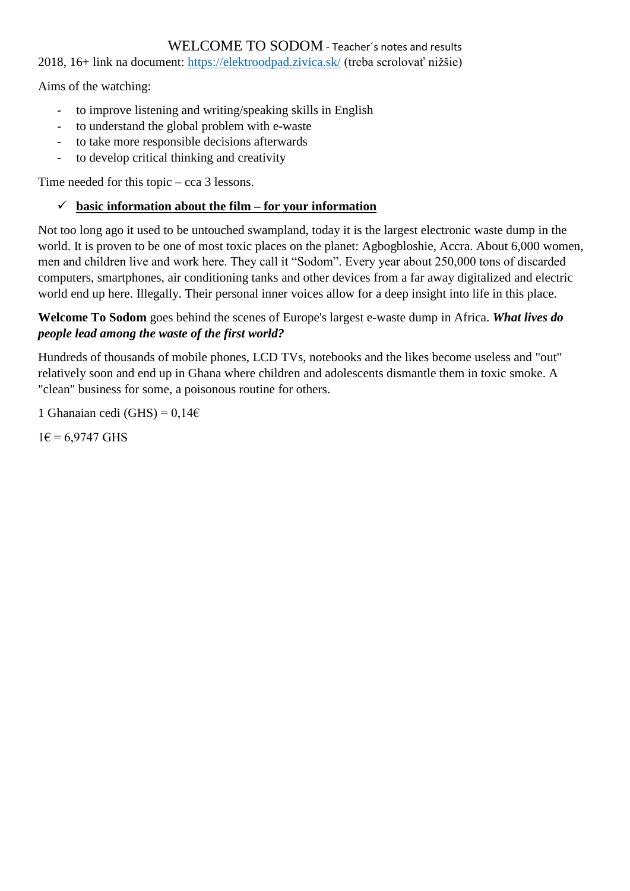### WELCOME TO SODOM - Teacher´s notes and results

2018, 16+ link na document:<https://elektroodpad.zivica.sk/> (treba scrolovať nižšie)

Aims of the watching:

- to improve listening and writing/speaking skills in English
- to understand the global problem with e-waste
- to take more responsible decisions afterwards
- to develop critical thinking and creativity

Time needed for this topic – cca 3 lessons.

# $\checkmark$  basic information about the film – for your information

Not too long ago it used to be untouched swampland, today it is the largest electronic waste dump in the world. It is proven to be one of most toxic places on the planet: Agbogbloshie, Accra. About 6,000 women, men and children live and work here. They call it "Sodom". Every year about 250,000 tons of discarded computers, smartphones, air conditioning tanks and other devices from a far away digitalized and electric world end up here. Illegally. Their personal inner voices allow for a deep insight into life in this place.

## **Welcome To Sodom** goes behind the scenes of Europe's largest e-waste dump in Africa. *What lives do people lead among the waste of the first world?*

Hundreds of thousands of mobile phones, LCD TVs, notebooks and the likes become useless and "out" relatively soon and end up in Ghana where children and adolescents dismantle them in toxic smoke. A "clean" business for some, a poisonous routine for others.

1 Ghanaian cedi (GHS) =  $0,14 \in$ 

 $1\epsilon = 6.9747$  GHS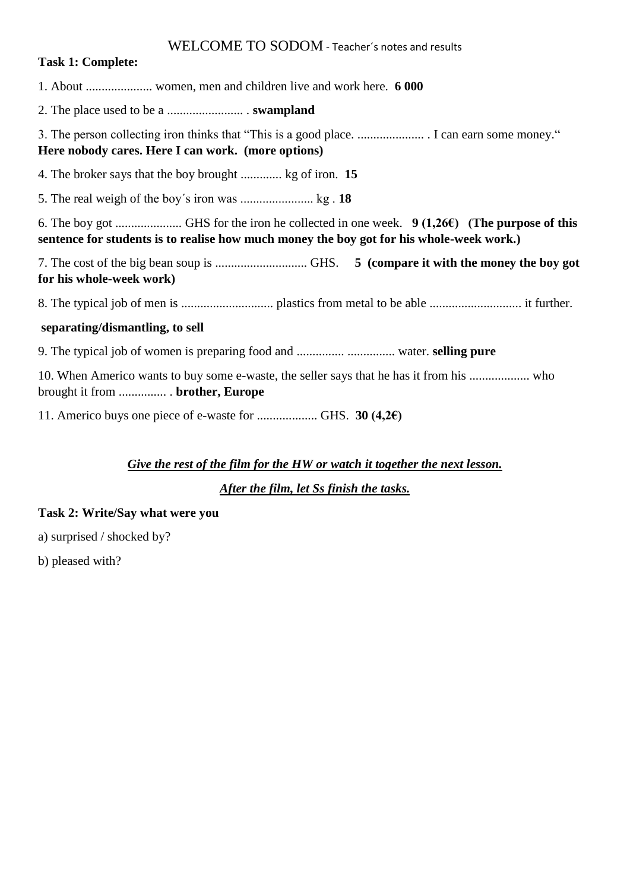#### WELCOME TO SODOM - Teacher´s notes and results

#### **Task 1: Complete:**

1. About ..................... women, men and children live and work here. **6 000**

2. The place used to be a ........................ . **swampland**

3. The person collecting iron thinks that "This is a good place. ..................... . I can earn some money." **Here nobody cares. Here I can work. (more options)**

4. The broker says that the boy brought ............. kg of iron. **15**

5. The real weigh of the boy´s iron was ....................... kg . **18**

6. The boy got ..................... GHS for the iron he collected in one week. **9 (1,26€) (The purpose of this sentence for students is to realise how much money the boy got for his whole-week work.)**

7. The cost of the big bean soup is ............................. GHS. **5 (compare it with the money the boy got for his whole-week work)**

8. The typical job of men is ............................. plastics from metal to be able ............................. it further.

#### **separating/dismantling, to sell**

9. The typical job of women is preparing food and ............... ............... water. **selling pure**

10. When Americo wants to buy some e-waste, the seller says that he has it from his ................... who brought it from ............... . **brother, Europe**

11. Americo buys one piece of e-waste for ................... GHS. **30 (4,2€)**

#### *Give the rest of the film for the HW or watch it together the next lesson.*

*After the film, let Ss finish the tasks.*

#### **Task 2: Write/Say what were you**

a) surprised / shocked by?

b) pleased with?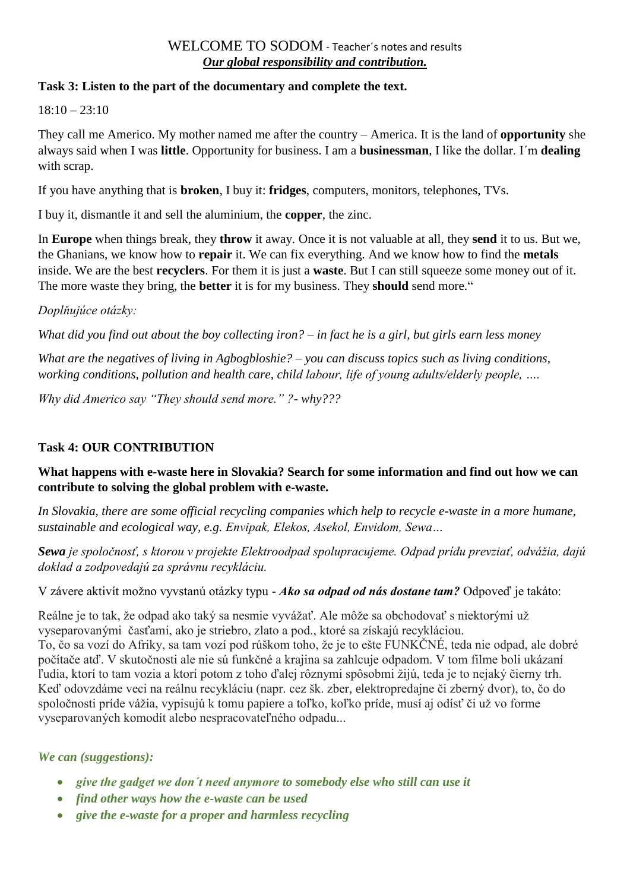# WELCOME TO SODOM - Teacher´s notes and results *Our global responsibility and contribution.*

#### **Task 3: Listen to the part of the documentary and complete the text.**

 $18:10 - 23:10$ 

They call me Americo. My mother named me after the country – America. It is the land of **opportunity** she always said when I was **little**. Opportunity for business. I am a **businessman**, I like the dollar. I´m **dealing** with scrap.

If you have anything that is **broken**, I buy it: **fridges**, computers, monitors, telephones, TVs.

I buy it, dismantle it and sell the aluminium, the **copper**, the zinc.

In **Europe** when things break, they **throw** it away. Once it is not valuable at all, they **send** it to us. But we, the Ghanians, we know how to **repair** it. We can fix everything. And we know how to find the **metals** inside. We are the best **recyclers**. For them it is just a **waste**. But I can still squeeze some money out of it. The more waste they bring, the **better** it is for my business. They **should** send more."

#### *Doplňujúce otázky:*

*What did you find out about the boy collecting iron? – in fact he is a girl, but girls earn less money*

*What are the negatives of living in Agbogbloshie? – you can discuss topics such as living conditions, working conditions, pollution and health care, child labour, life of young adults/elderly people, ….* 

*Why did Americo say "They should send more." ?- why???*

#### **Task 4: OUR CONTRIBUTION**

#### **What happens with e-waste here in Slovakia? Search for some information and find out how we can contribute to solving the global problem with e-waste.**

*In Slovakia, there are some official recycling companies which help to recycle e-waste in a more humane, sustainable and ecological way, e.g. Envipak, Elekos, Asekol, Envidom, Sewa…*

*Sewa je spoločnosť, s ktorou v projekte Elektroodpad spolupracujeme. Odpad prídu prevziať, odvážia, dajú doklad a zodpovedajú za správnu recykláciu.*

V závere aktivít možno vyvstanú otázky typu - *Ako sa odpad od nás dostane tam?* Odpoveď je takáto:

Reálne je to tak, že odpad ako taký sa nesmie vyvážať. Ale môže sa obchodovať s niektorými už vyseparovanými časťami, ako je striebro, zlato a pod., ktoré sa získajú recykláciou.

To, čo sa vozí do Afriky, sa tam vozí pod rúškom toho, že je to ešte FUNKČNÉ, teda nie odpad, ale dobré počítače atď. V skutočnosti ale nie sú funkčné a krajina sa zahlcuje odpadom. V tom filme boli ukázaní ľudia, ktorí to tam vozia a ktorí potom z toho ďalej rôznymi spôsobmi žijú, teda je to nejaký čierny trh. Keď odovzdáme veci na reálnu recykláciu (napr. cez šk. zber, elektropredajne či zberný dvor), to, čo do spoločnosti príde vážia, vypisujú k tomu papiere a toľko, koľko príde, musí aj odísť či už vo forme vyseparovaných komodít alebo nespracovateľného odpadu...

#### *We can (suggestions):*

- *give the gadget we don´t need anymore to somebody else who still can use it*
- *find other ways how the e-waste can be used*
- *give the e-waste for a proper and harmless recycling*